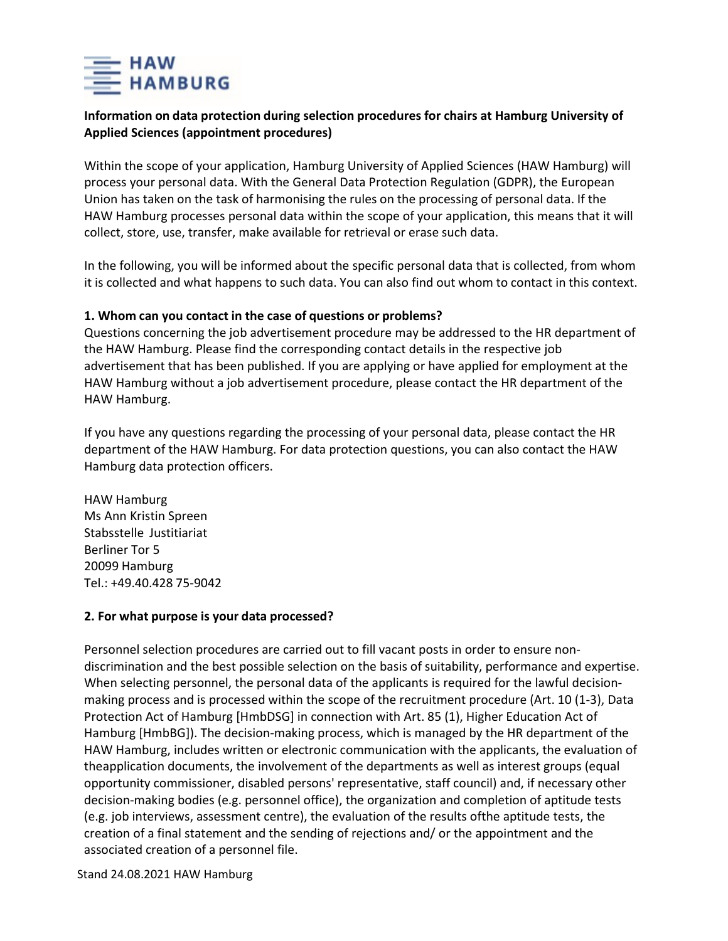

# **Information on data protection during selection procedures for chairs at Hamburg University of Applied Sciences (appointment procedures)**

Within the scope of your application, Hamburg University of Applied Sciences (HAW Hamburg) will process your personal data. With the General Data Protection Regulation (GDPR), the European Union has taken on the task of harmonising the rules on the processing of personal data. If the HAW Hamburg processes personal data within the scope of your application, this means that it will collect, store, use, transfer, make available for retrieval or erase such data.

In the following, you will be informed about the specific personal data that is collected, from whom it is collected and what happens to such data. You can also find out whom to contact in this context.

#### **1. Whom can you contact in the case of questions or problems?**

Questions concerning the job advertisement procedure may be addressed to the HR department of the HAW Hamburg. Please find the corresponding contact details in the respective job advertisement that has been published. If you are applying or have applied for employment at the HAW Hamburg without a job advertisement procedure, please contact the HR department of the HAW Hamburg.

If you have any questions regarding the processing of your personal data, please contact the HR department of the HAW Hamburg. For data protection questions, you can also contact the HAW Hamburg data protection officers.

HAW Hamburg Ms Ann Kristin Spreen Stabsstelle Justitiariat Berliner Tor 5 20099 Hamburg Tel.: +49.40.428 75-9042

#### **2. For what purpose is your data processed?**

Personnel selection procedures are carried out to fill vacant posts in order to ensure nondiscrimination and the best possible selection on the basis of suitability, performance and expertise. When selecting personnel, the personal data of the applicants is required for the lawful decisionmaking process and is processed within the scope of the recruitment procedure (Art. 10 (1-3), Data Protection Act of Hamburg [HmbDSG] in connection with Art. 85 (1), Higher Education Act of Hamburg [HmbBG]). The decision-making process, which is managed by the HR department of the HAW Hamburg, includes written or electronic communication with the applicants, the evaluation of theapplication documents, the involvement of the departments as well as interest groups (equal opportunity commissioner, disabled persons' representative, staff council) and, if necessary other decision-making bodies (e.g. personnel office), the organization and completion of aptitude tests (e.g. job interviews, assessment centre), the evaluation of the results ofthe aptitude tests, the creation of a final statement and the sending of rejections and/ or the appointment and the associated creation of a personnel file.

Stand 24.08.2021 HAW Hamburg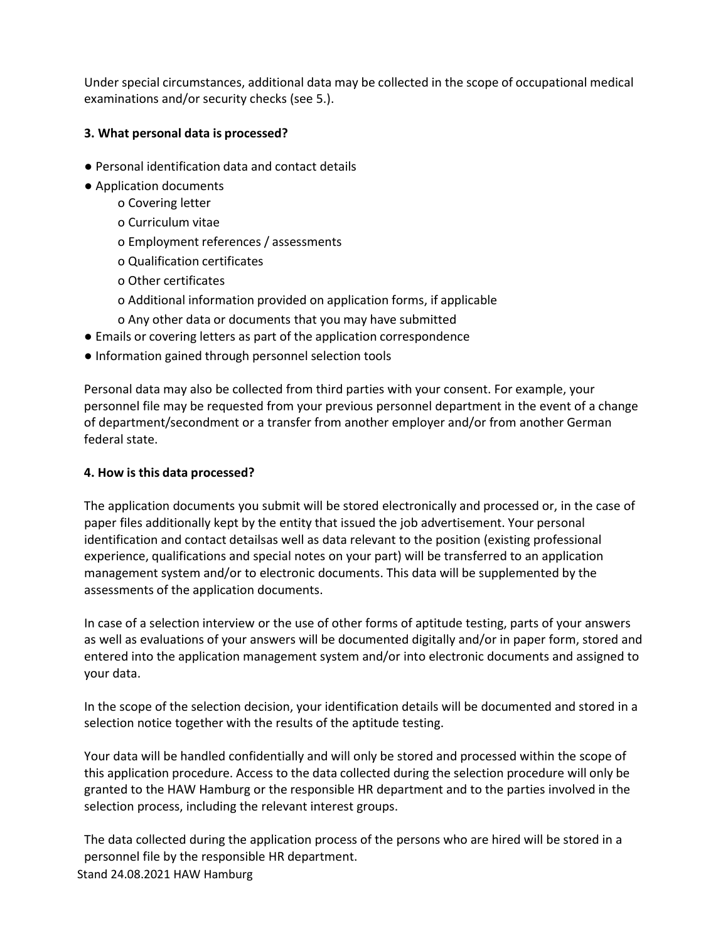Under special circumstances, additional data may be collected in the scope of occupational medical examinations and/or security checks (see 5.).

# **3. What personal data is processed?**

- Personal identification data and contact details
- Application documents
	- o Covering letter
	- o Curriculum vitae
	- o Employment references / assessments
	- o Qualification certificates
	- o Other certificates
	- o Additional information provided on application forms, if applicable
	- o Any other data or documents that you may have submitted
- Emails or covering letters as part of the application correspondence
- Information gained through personnel selection tools

Personal data may also be collected from third parties with your consent. For example, your personnel file may be requested from your previous personnel department in the event of a change of department/secondment or a transfer from another employer and/or from another German federal state.

# **4. How is this data processed?**

The application documents you submit will be stored electronically and processed or, in the case of paper files additionally kept by the entity that issued the job advertisement. Your personal identification and contact detailsas well as data relevant to the position (existing professional experience, qualifications and special notes on your part) will be transferred to an application management system and/or to electronic documents. This data will be supplemented by the assessments of the application documents.

In case of a selection interview or the use of other forms of aptitude testing, parts of your answers as well as evaluations of your answers will be documented digitally and/or in paper form, stored and entered into the application management system and/or into electronic documents and assigned to your data.

In the scope of the selection decision, your identification details will be documented and stored in a selection notice together with the results of the aptitude testing.

Your data will be handled confidentially and will only be stored and processed within the scope of this application procedure. Access to the data collected during the selection procedure will only be granted to the HAW Hamburg or the responsible HR department and to the parties involved in the selection process, including the relevant interest groups.

Stand 24.08.2021 HAW Hamburg The data collected during the application process of the persons who are hired will be stored in a personnel file by the responsible HR department.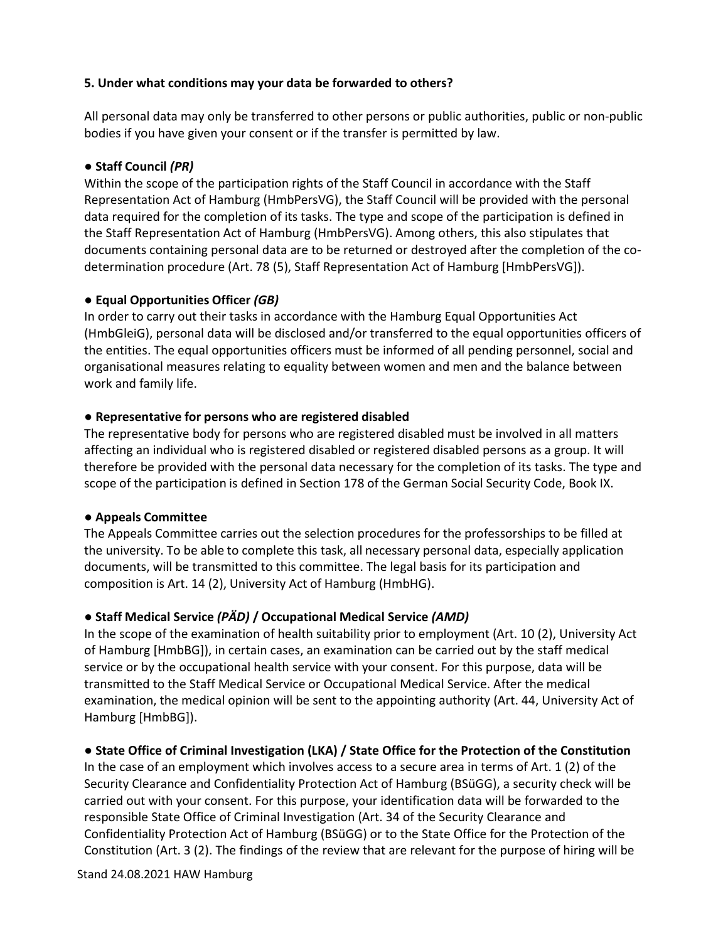### **5. Under what conditions may your data be forwarded to others?**

All personal data may only be transferred to other persons or public authorities, public or non-public bodies if you have given your consent or if the transfer is permitted by law.

### **● Staff Council** *(PR)*

Within the scope of the participation rights of the Staff Council in accordance with the Staff Representation Act of Hamburg (HmbPersVG), the Staff Council will be provided with the personal data required for the completion of its tasks. The type and scope of the participation is defined in the Staff Representation Act of Hamburg (HmbPersVG). Among others, this also stipulates that documents containing personal data are to be returned or destroyed after the completion of the codetermination procedure (Art. 78 (5), Staff Representation Act of Hamburg [HmbPersVG]).

#### **● Equal Opportunities Officer** *(GB)*

In order to carry out their tasks in accordance with the Hamburg Equal Opportunities Act (HmbGleiG), personal data will be disclosed and/or transferred to the equal opportunities officers of the entities. The equal opportunities officers must be informed of all pending personnel, social and organisational measures relating to equality between women and men and the balance between work and family life.

#### ● **Representative for persons who are registered disabled**

The representative body for persons who are registered disabled must be involved in all matters affecting an individual who is registered disabled or registered disabled persons as a group. It will therefore be provided with the personal data necessary for the completion of its tasks. The type and scope of the participation is defined in Section 178 of the German Social Security Code, Book IX.

# ● **Appeals Committee**

The Appeals Committee carries out the selection procedures for the professorships to be filled at the university. To be able to complete this task, all necessary personal data, especially application documents, will be transmitted to this committee. The legal basis for its participation and composition is Art. 14 (2), University Act of Hamburg (HmbHG).

# ● **Staff Medical Service** *(PÄD)* **/ Occupational Medical Service** *(AMD)*

In the scope of the examination of health suitability prior to employment (Art. 10 (2), University Act of Hamburg [HmbBG]), in certain cases, an examination can be carried out by the staff medical service or by the occupational health service with your consent. For this purpose, data will be transmitted to the Staff Medical Service or Occupational Medical Service. After the medical examination, the medical opinion will be sent to the appointing authority (Art. 44, University Act of Hamburg [HmbBG]).

# ● **State Office of Criminal Investigation (LKA) / State Office for the Protection of the Constitution**

In the case of an employment which involves access to a secure area in terms of Art. 1 (2) of the Security Clearance and Confidentiality Protection Act of Hamburg (BSüGG), a security check will be carried out with your consent. For this purpose, your identification data will be forwarded to the responsible State Office of Criminal Investigation (Art. 34 of the Security Clearance and Confidentiality Protection Act of Hamburg (BSüGG) or to the State Office for the Protection of the Constitution (Art. 3 (2). The findings of the review that are relevant for the purpose of hiring will be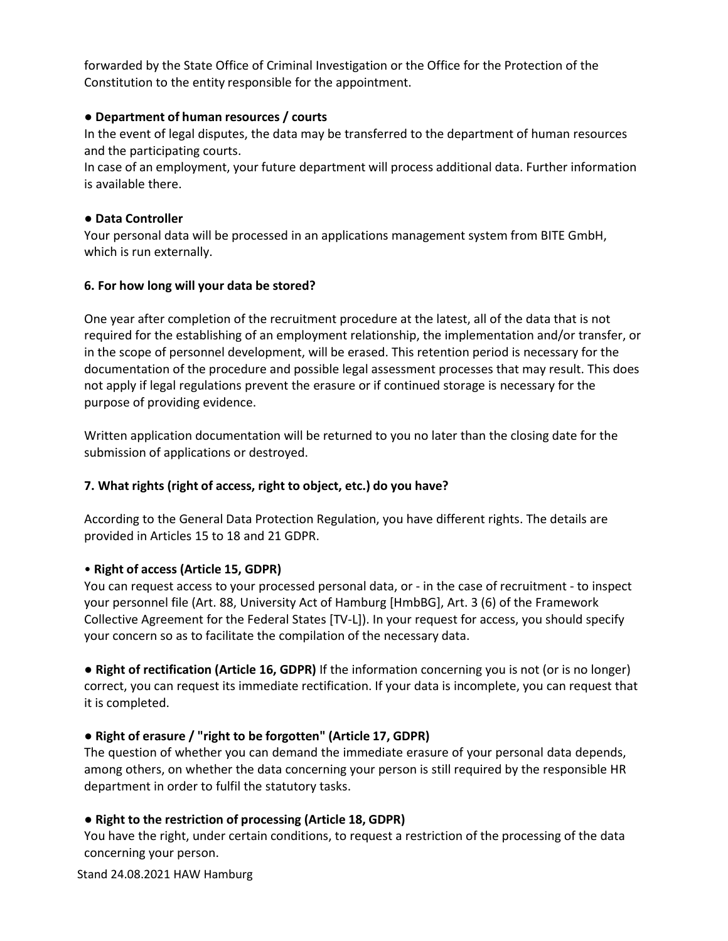forwarded by the State Office of Criminal Investigation or the Office for the Protection of the Constitution to the entity responsible for the appointment.

### ● **Department of human resources / courts**

In the event of legal disputes, the data may be transferred to the department of human resources and the participating courts.

In case of an employment, your future department will process additional data. Further information is available there.

#### ● **Data Controller**

Your personal data will be processed in an applications management system from BITE GmbH, which is run externally.

#### **6. For how long will your data be stored?**

One year after completion of the recruitment procedure at the latest, all of the data that is not required for the establishing of an employment relationship, the implementation and/or transfer, or in the scope of personnel development, will be erased. This retention period is necessary for the documentation of the procedure and possible legal assessment processes that may result. This does not apply if legal regulations prevent the erasure or if continued storage is necessary for the purpose of providing evidence.

Written application documentation will be returned to you no later than the closing date for the submission of applications or destroyed.

# **7. What rights (right of access, right to object, etc.) do you have?**

According to the General Data Protection Regulation, you have different rights. The details are provided in Articles 15 to 18 and 21 GDPR.

# • **Right of access (Article 15, GDPR)**

You can request access to your processed personal data, or - in the case of recruitment - to inspect your personnel file (Art. 88, University Act of Hamburg [HmbBG], Art. 3 (6) of the Framework Collective Agreement for the Federal States [TV-L]). In your request for access, you should specify your concern so as to facilitate the compilation of the necessary data.

● **Right of rectification (Article 16, GDPR)** If the information concerning you is not (or is no longer) correct, you can request its immediate rectification. If your data is incomplete, you can request that it is completed.

# ● **Right of erasure / "right to be forgotten" (Article 17, GDPR)**

The question of whether you can demand the immediate erasure of your personal data depends, among others, on whether the data concerning your person is still required by the responsible HR department in order to fulfil the statutory tasks.

# ● **Right to the restriction of processing (Article 18, GDPR)**

You have the right, under certain conditions, to request a restriction of the processing of the data concerning your person.

Stand 24.08.2021 HAW Hamburg